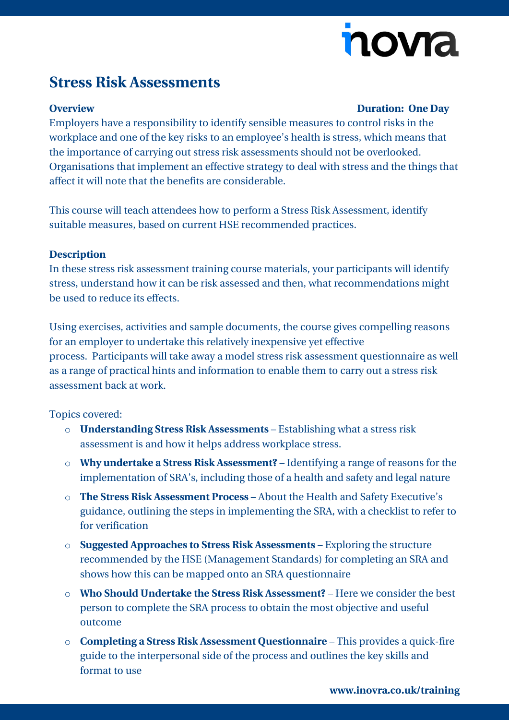# novia

## **Stress Risk Assessments**

#### **Overview Duration: One Day**

Employers have a responsibility to identify sensible measures to control risks in the workplace and one of the key risks to an employee's health is stress, which means that the importance of carrying out stress risk assessments should not be overlooked. Organisations that implement an effective strategy to deal with stress and the things that affect it will note that the benefits are considerable.

This course will teach attendees how to perform a Stress Risk Assessment, identify suitable measures, based on current HSE recommended practices.

#### **Description**

In these stress risk assessment training course materials, your participants will identify stress, understand how it can be risk assessed and then, what recommendations might be used to reduce its effects.

Using exercises, activities and sample documents, the course gives compelling reasons for an employer to undertake this relatively inexpensive yet effective process. Participants will take away a model stress risk assessment questionnaire as well as a range of practical hints and information to enable them to carry out a stress risk assessment back at work.

### Topics covered:

- o **Understanding Stress Risk Assessments** Establishing what a stress risk assessment is and how it helps address workplace stress.
- o **Why undertake a Stress Risk Assessment?** Identifying a range of reasons for the implementation of SRA's, including those of a health and safety and legal nature
- o **The Stress Risk Assessment Process** About the Health and Safety Executive's guidance, outlining the steps in implementing the SRA, with a checklist to refer to for verification
- o **Suggested Approaches to Stress Risk Assessments** Exploring the structure recommended by the HSE (Management Standards) for completing an SRA and shows how this can be mapped onto an SRA questionnaire
- o **Who Should Undertake the Stress Risk Assessment?** Here we consider the best person to complete the SRA process to obtain the most objective and useful outcome
- o **Completing a Stress Risk Assessment Questionnaire** This provides a quick-fire guide to the interpersonal side of the process and outlines the key skills and format to use